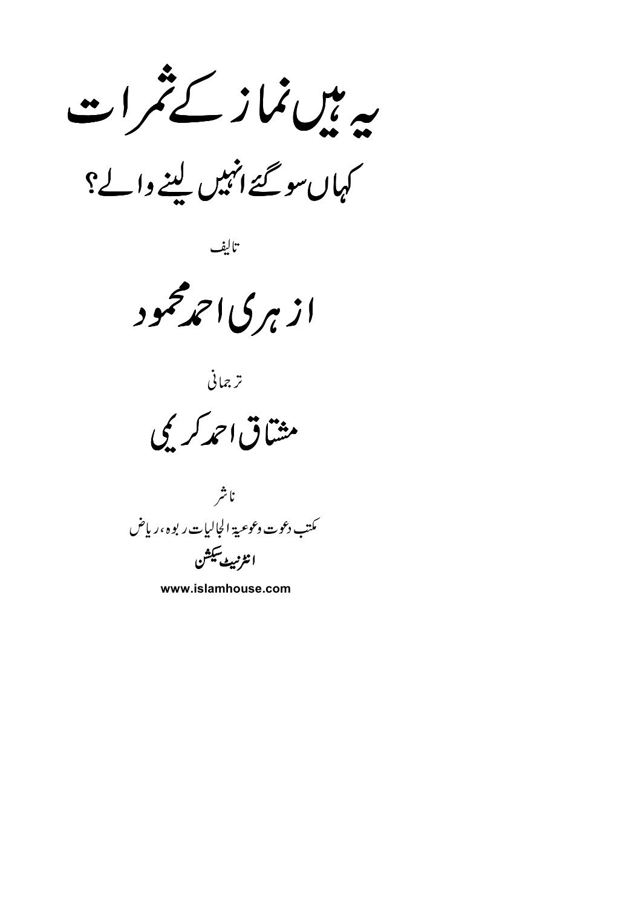یہ پی نماز کے تمر ا ت

کہاں سو گئے انہیں لینے والے؟

تاليف

از ہر کی احمدمحمود

ترجمانى

مشاق احمد کر ی

ناشر كىتب دعوت وعوعية الجاليات ر بوه ،رياض انٹرنبیٹ سکشن

www.islamhouse.com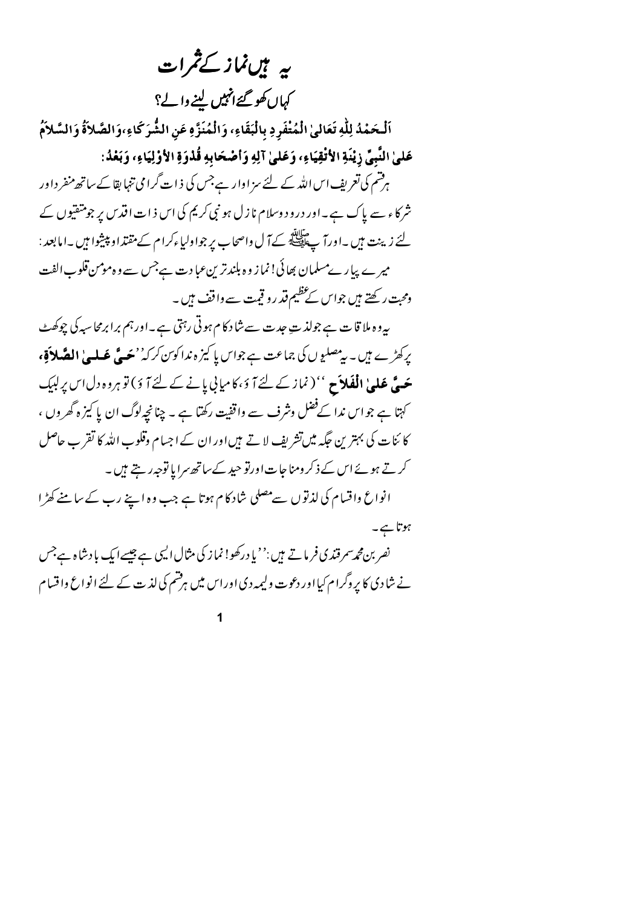بہ ہیںنماز کے ثمرات

کہاں کھو گئے انہیں لینے والے؟

اَلْحَمْدُ لِلَّهِ تَعَالَىٰ الْمُتْفَرِدِ بِالْبَقَاءِ، وَالْمُنَزَّهِ عَنِ الشُّرَكَاءِ،وَالصَّلاَةُ وَالسَّلاَمُ عَلَىٰ النَّبِيِّ زِيْنَةِ الأَتْقِيَاءِ، وَعَلَىٰ آلِهِ وَأَصْحَابِهِ قُذْوَةِ الأَوْلِيَاءِ، وَبَعْدُ:

ہرفتم کی تعریف اس اللہ کے لئے سز اوار ہےجس کی ذات گرا می تنہا بقا کے ساتھ منفر داور شرکاء سے پاک ہے۔اور درود وسلام نازل ہو نبی کریم کی اس ذات اقدس پر جو متفتیوں کے لئے زینت ہیں ۔اورآ پے ایلاَ کے آ ل واصحاب پر جواولیاءکرام کے مقتداو پیشوا ہیں ۔امابعد : میرے پیارےمسلمان بھائی! نماز وہ بلندترین عبادت ہےجس سے وہ مومن قلوب الفت ومحبت رکھتے ہیں جواس کے عظیم قد رو قیمت سے واقف ہیں ۔

بیروہ ملا قات ہے جولذ ت عبدت سے شاد کام ہوتی رہتی ہے۔اورہم برابرمحاسبہ کی چوکھٹ پرکھڑے ہیں۔ بی<sup>مصلی</sup>وں کی جماعت ہے جواس پا کیز ہ ندا کوین کرکہ' بچ**ے گھلے' الصَّلاَقِ،** حَيَّ عَلَيْهِ الْفَلاَحِ '' (نماز کے لئے آ ؤ ،کامیابی یانے کے لئے آ ؤ ) تو ہروہ دل اس پر لبک کہتا ہے جو اس ندا کےفضل وشرف سے واقفیت رکھتا ہے ۔ چنانچہ لوگ ان یا کیز ہ گھر وں ، کا ئنات کی بہترین جگہ میںتشریف لاتے ہیںاور ان کے اجسام وقلوب اللہ کا تقرب حاصل کرتے ہوئے اس کے ذکر ومناجات اورتو حید کے ساتھ سرایا توجہ رہتے ہیں۔ انواع واقسام کی لذتوں سےمصلی شاد کام ہوتا ہے جب وہ اپنے رب کے سامنے کھڑا ہوتا ہے۔

نصر بن محمہ سمرقندی فر ماتے ہیں :''یا درکھو! نماز کی مثال الیں ہے جیسے ایک با دشاہ ہےجس نے شادی کا پر وگرام کیا اور دعوت ولیمہ دی اوراس میں ہرفشم کی لذت کے لئے انواع واقسام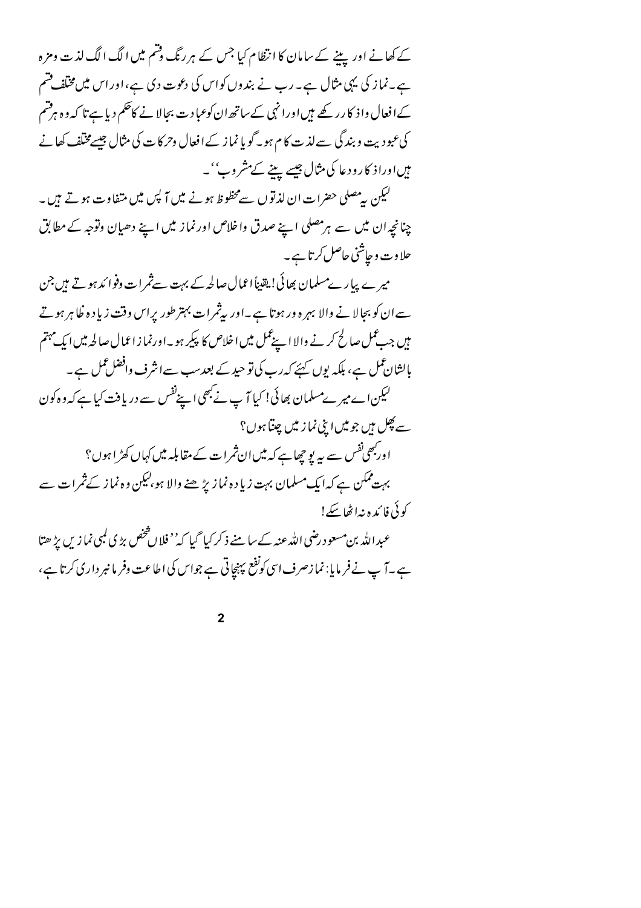کے کھانے اور پینے کے سامان کا انتظام کیا جس کے ہر رنگ وقتم میں الگ الگ لذت ومزہ ہے۔نما ز کی یہی مثال ہے۔ رب نے بندوں کواس کی دعوت دی ہے،اوراس میں مخلف فتیم کےافعال وا ذکا رر کھے ہیںاورا نہی کےساتھ ان کوعبا دت بحالا نے کاحکم دیا ہے تا کہ و ہ ہرفتم کی عبودیت و بندگی سے لذت کا م ہو۔گو پا نما ز کے افعال وحرکا ت کی مثال جیسے مختلف کھانے میں اورا ذ کارود عا کی مثال جیسے پینے کے مشروب''۔

کیکن پیرمصلی حضرات ان لذتوں سےمخطوط ہونے میں آ پس میں متفاوت ہوتے ہیں۔ چنانچہ ان میں سے ہرمصلی اپنے صدق واخلاص اور نماز میں اپنے دھیان وتوجہ کے مطابق حلاوت وحاشني حاصل کرتا ہے۔

میرے پیارےمسلمان بھائی! یقیناً اعمال صالحہ کے بہت سےثمرات دفوا ندہوتے ہیں جن سے ان کو بجالا نے والا بہرہ ور ہوتا ہے۔اور پیثمرات بہتر طور یراس وقت زیادہ خلا ہر ہو تے میں جب عمل صالح کرنے والا اپنے عمل میں اخلاص کا پیکر ہو۔اورنما زاعمال صالحہ میں ایک مہتم پالشان عمل ہے، بلکہ یوں کہیئے کہ رب کی تو حید کے بعد سب سےانثرف وافضل عمل ہے ۔ لیکن اے میر ےمسلمان بھائی! کیا آ پ نے بھی اپنےنفس سے دریافت کیا ہے کہ وہ کون سے پھِل ہیں جو میں اپنی نما ز میں چپتا ہوں؟ اور بھی نفس سے بیر یو چھاہے کہ میں ان ثمرات کے مقابلہ میں کہاں کھڑ ا ہوں؟ بہت ممکن ہے کہ ایک مسلمان بہت زیاد ہ نمازیڑ ھنے والا ہو،لیکن وہ نماز کے ثمرات سے كوئي فائد ونه اٹھا سكر! عبدالله بن مسعود رضي الله عنه کے سامنے ذکر کیا گیا کہ'' فلا ن څخص بڑ ی کمپی نما زیں بڑ ھتا ہے۔آ پ نے فر مایا: نما زصرف اسی کونفع پہنچاتی ہے جواس کی اطاعت وفر مانبر داری کرتا ہے،

 $\overline{2}$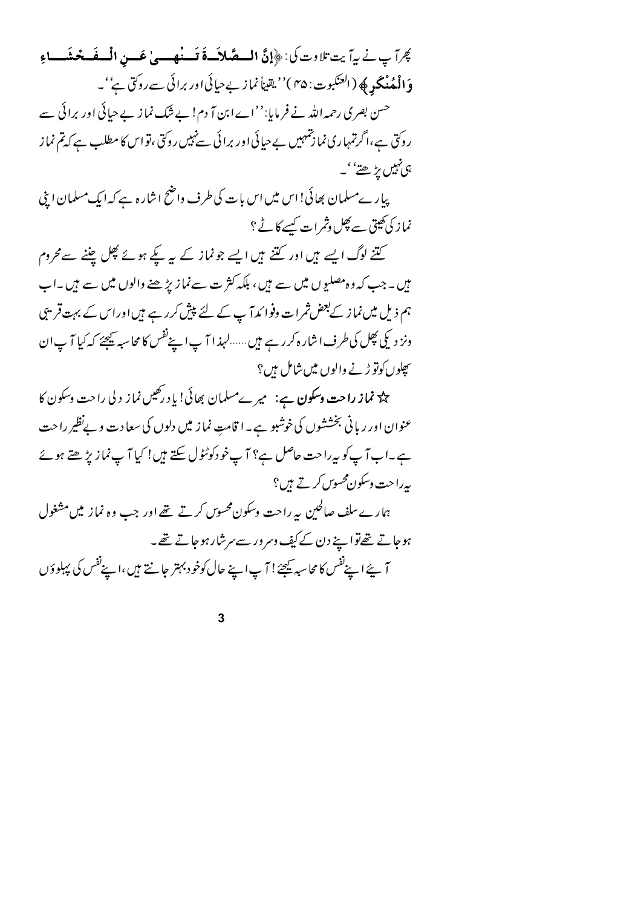كِبْراً بِ نِي بِياً بِتِ تِلادِتِ كِي: ﴿إِنَّ السِعَّىلاَسَةَ قَسِنْهِمِسِي عَسِنِ الْسِفَسِعْنَفِساءِ وَ**الْمُنْكَرِ ﴾ (**العنكبوت: ۴۵ )''يقيناً نما زيبےحيائى اور برائى سے روك<sup>ت</sup>ى ہے''۔ حسن بصری رحمہ اللہ نے فر مایا:''اےابن آ دم! بے شک نما ز بے حیائی اور برائی سے روکتی ہے،اگرتمہاری نما زنتمہیں بےحیائی اور برائی سےنہیں روکتی ،تو اس کا مطلب ہے کہ تم نماز ہی نہیں بڑھتے''۔ پیار ےمسلمان بھائی!اس میں اس بات کی طرف واضح اشار ہ ہے کہ ایک مسلمان اپنی

نماز کی کھیتی سے پھل وثمرات کیسے کا ٹے ؟

کتنے لوگ ایسے ہیں اور کتنے ہیں ایسے جونماز کے یہ کیے ہوئے پھل چننے سے محروم میں ۔ جب کہ وہ مصلیوں میں سے ہیں، بلکہ کثر ت سےنماز بڑھنے والوں میں سے ہیں ۔اب ہم ذیل میں نماز کے بعض ثمرات وفوا ئد آ پ کے لئے پیش کرر ہے ہیں اوراس کے بہت قریبی ونز دیکی پھِل کی طرف اشار ہ کررہے ہیں ......لہذ ا آ پ اپنےنفس کا محاسبہ ﷺ کہ کیا آ پ ان سچلوں کوتو ڑنے والوں میں شامل ہیں؟

ے۔<br>پی **نماز راحت وسکون ہے**: میر ےمسلمان بھائی! یا د رکھیں نماز د لی راحت وسکون کا عنوان اور ریانی بخششوں کی خوشبو ہے ۔ا قامتِ نماز میں دلوں کی سعادت و بےنظیر راحت ہے۔اب آپ کو پہراحت حاصل ہے؟ آپ خود کوٹٹول سکتے ہیں! کیا آپ نماز پڑھتے ہوئے بەرا حت وسکون محسوس کرتے ہیں؟ ہمارےسلف صالحین پہ راحت وسکون محسوس کرتے تھے اور جب وہ نماز میں مشغول

ہوجاتے تھےتوا پنے دن کے کیف دسر در سے سرشار ہوجاتے تھے۔ آ پئے اپنےنفس کا محاسبہ ﷺ ! آ پ اپنے حال کوخو د بہتر جانتے ہیں ،اپنےنفس کی پہلو دَ ں

 $\mathbf{3}$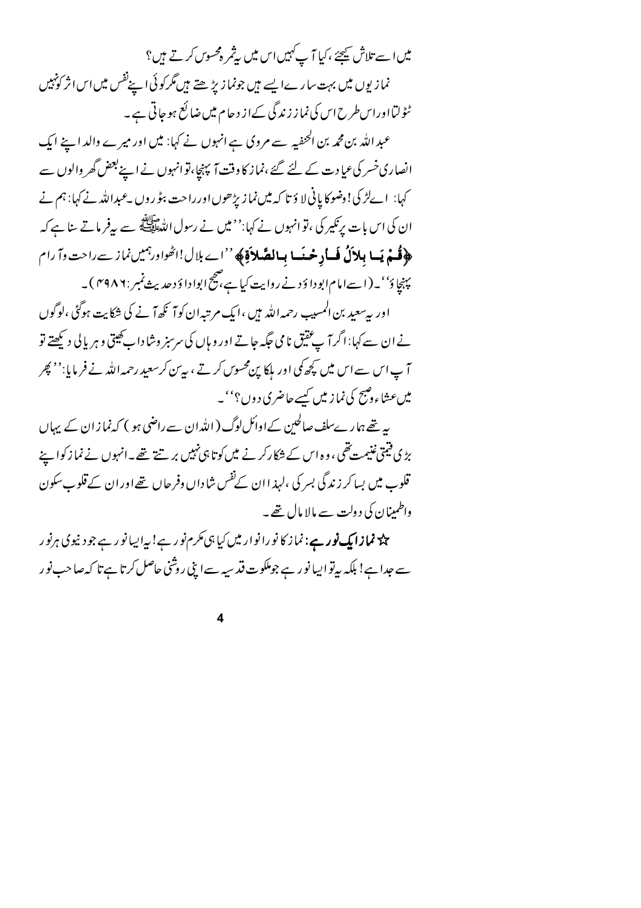میں اسے تلاش کیجئے ،کیا آ پ<sup>کہ</sup>یں اس میں پیٹمر ہ<sup>و</sup>سوں کرتے ہیں؟ نما زیوں میں بہت سارےا پسے ہیں جونما زیڑھتے ہیں گرکوئی اپنےنفس میں اس اثر کونہیں ٹٹولتااوراسطرح اس کی نماز زندگی کےاز دحام میں ضائع ہوجاتی ہے۔

عبد الله بن محمد بن الحنفيه سے مروی ہے انہوں نے کہا: میں اور میرے والد اپنے ایک انصاری خسر کی عیادت کے لئے گئے ،نماز کا وقت آ پہنچا،نوانہوں نے اپنے بعض گھر والوں سے کہا: اےلڑ کی! وضوکا پانی لا وَ تا کہ میں نما زیڑھوں اور راحت بٹو روں پے بداللہ نے کہا: ہم نے ان کی اس بات پرنکیر کی ،تو انہوں نے کہا:'' میں نے رسول اللّٰہﷺ سے بیرفر ماتے سا ہے کہ ﴿ فَسِمْ يَسا بِلاَلُ فَسأدِ حْيَسا بِسالِقَيْلاَوْ﴾ ''اے بلال!اٹھواور ہمیں نماز سے راحت وآ رام

پہنچاؤ''۔(اسےامام ابوداؤ دنے روایت کیا ہے، ضج ابواداؤ دحدیث نمبر : ۴۹۸۶)۔ اور بہ سعید بن المسیب رحمہ اللہ ہیں ،ایک مرتبہان کو آ گھ آ نے کی شکایت ہوگئی ،لوگوں نے ان سے کہا: اگر آ ب عقیق نامی جگہ جاتے اور وہاں کی سرسبز وشاداب کھیتی و ہر پالی دیکھتے تو آ پ اس سے اس میں کچھ کمی اور ہلکا پن محسوس کرتے ، یہ بن کرسعید رحمہ اللہ نے فر مایا:'' بھر میں عشاءوضح کی نماز میں کسے حاضری دوں؟''۔

یہ تھے ہمارےسلف صالحین کےاوائل لوگ (اللہ ان سے راضی ہو ) کہ نما ز ان کے پہاں بڑی فیمتی غنیمت تھی ، وہ اس کے شکارکر نے میں کو تا ہی نہیں بر تنتے تھے۔انہوں نے نما زکوا ہے قلوب میں بسا کر زندگی بسر کی ،لہذ اان کےنفس شاداں وفرحاں تھےاوران کے قلوب سکون واطمینان کی د ولت سے مالا مال تھے۔

چک<sup>ے</sup> **نمازا یک نور ہے**: نماز کا نورا نوار میں کیا ہی مکرم نور ہے! یہ ایسا نور ہے جود نیوی ہرنور سے جدا ہے! بلکہ بیرتوا پیا نو رہے جوملکوت قد سیہ سےا پنی روشنی حاصل کرتا ہے تا کہ صاحب نو ر

 $\overline{\mathbf{4}}$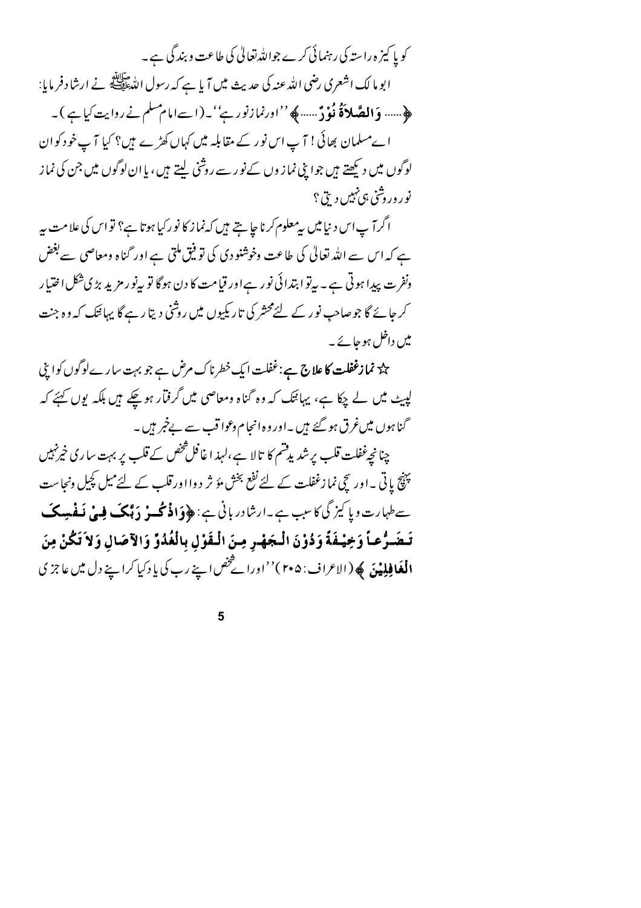کو یا کیز ہ راستہ کی رہنمائی کرے جواللہ تعالیٰ کی طاعت و بندگی ہے ۔ ابو ما لك اشعرى رضي الله عنه كي حديث **مي**ں آيا ہے كہ رسول اللهﷺ نے ارشاد فر مايا: ﴿…… وَ**الصَّلاَةُ نُوْدٌ**……﴾ ''اورنمازنور ہے''۔(اسےامام سلم نے روایت کیا ہے )۔ اےمسلمان بھائی ! آ پ اس نور کے مقابلہ میں کہاں کھڑے ہیں؟ کیا آ پ خود کوان لوگوں میں دیکھتے ہیں جوا پنی نما ز وں کےنو ر سے روشنی لیتے ہیں ، یا ان لوگوں میں جن کی نما ز

نو روروشی ېې نېيں دېتى ؟

اگرآ پ اس د نیامیں بی<sup>معلوم</sup> کرنا ج<u>ا ہت</u>ے ہیں کہ<sup>ن</sup>ما ز کا نو رکیا ہوتا ہے؟ تو اس کی علامت ہیر ہے کہ اس سے اللہ تعالیٰ کی طاعت وخوشنودی کی توفیق ملتی ہے اور گناہ ومعاصی سے بغض ونفرت پیدا ہوتی ہے۔ بیرتو ابتدائی نور ہےاور قیامت کا دن ہوگا تو بیرنو رمزید بڑی شکل اختیار کر جائے گا جوصاحب نور کے لئےمحشر کی تاریکیوں میں روشنی دیتا رہے گا پہائنک کہ وہ جنت میں داخل ہوجائے۔

حک<sup>ہ</sup> **نمازغفلت کا علاج ہے**:غفلت ایک خطرناک مرض ہے جو بہت سارےلوگوں کواپنی لپیٹ میں لے چکا ہے، یہاننگ کہ وہ گناہ ومعاصی میں گرفتار ہوچکے ہیں بلکہ یوں کہئے کہ گناہوں میںغرق ہو گئے ہیں ۔اور وہ انجام وعوا قب سے بےخبر ہیں ۔

چنانچےغفلت قلب پر شدیدقشم کا تالا ہے،لہذ ا غافل شخص کے قلب پر بہت ساری خیرنہیں پنچ پاتی ۔اور سچی نما زغفلت کے لئے نفع بخش مؤ ثر دوااورقلب کے لئےمیل کچیل ونجاست سےطہارت و پا کیز گی کا سبب ہے۔ارشادر بانی ہے: ﴿ وَافْرَنَّکَ وَ دَبَّکَ فِسْیْ نَفْسِیکَ تَـضَـرُّعـاً وَخِيفَةً وَدُوْنَ الْـجَهْـرِ مِـنَ الْـقَوْلِ بِالْغُدُوِّ وَالآصَالِ وَلاَ تَكُنْ مِنَ **الْغَافِلِيْنَ ﴾ (**الاعراف: ۲۰۵)''اوراۓ *څض*اپنے رب کی پاد کیا کراپنے دل میں عاجز ی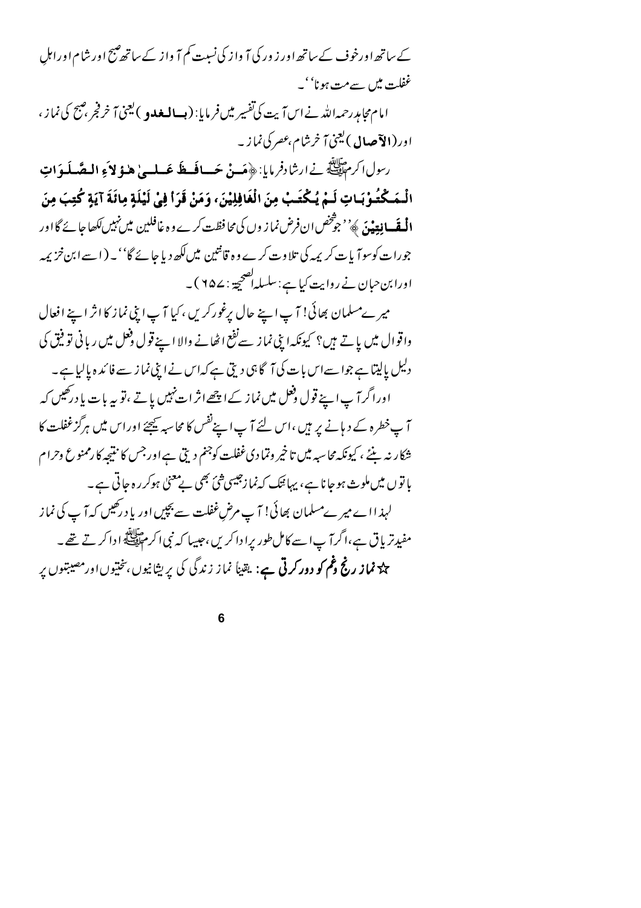کے ساتھ اورخوف کے ساتھ اور ز ور کی آ واز کی نسبت کم آ واز کے ساتھ صبح اور شام اور اہل غفلت میں سےمت ہونا''۔

امام محام<sub>ل</sub>رحمہ اللہ نے اس آیت کی تفسیر میں فرمایا: ( **بسالمعدو** ) یعنی آخر فجر ، صبح کی نما ز ، اور (**الآصال** )ل<sup>ی</sup>نیٰ آ خرشام،عصر کی نماز ۔

رسول اكرم الله في السنادفر مايا: ﴿ مَسِنْ حَسافَكَ عَسلسىٰ هٰذِ لاَءِ الْمِصْلَوَاتِ الْـمَـكْتُـوْبَـاتِ لَـمْ يُـكْتَـبْ مِنَ الْغَافِلِيْنَ، وَمَنْ قَرَأَ فِيْ لَيْلَةِ مِائَةَ آيَةٍ كُتِبَ مِنَ **الْمُقَسافِةِيْ**نَ ﴾ ُ' جوْ تَحْص ان فرض نما ز وں کی محافظت کرے وہ غافلین میں نہیں لکھا جائے گا اور جورات کوسوآ پات کر یمہ کی تلا وت کرے وہ قانتین میں لکھ دیا جائے گا''۔(اسے ابن خزیمہ اورابن حبان نے روایت کیا ہے : سلسلہاصحیحۃ : ۲۵۷ )۔

میر ےمسلمان بھائی! آپ اپنے حال پرغورکریں ،کیا آپ اپنی نماز کا اثر اپنے افعال واقوال میں باتے ہیں؟ کیونکہ ابنی نماز سےنفع اٹھانے والا اپنے قول دفعل میں ریانی تو فیق کی دلیل پالیتا ہے جواسےاس بات کی آگا ہی دیتی ہے کہاس نے اپنی نماز سے فائد ہ پالیا ہے۔ اوراگر آپ اپنے قول ف<sup>ع</sup>ل میں نماز کے اچھےاثر ات<sup>نہ</sup>بیں یاتے ،تو <sub>س</sub>ہ بات یا درکھیں کہ آپ خطرہ کے دیانے پر ہیں ،اس لئے آپ اپنےنفس کا محاسبہ ﷺ اوراس میں ہرگزغفلت کا شکار نہ بنئے ، کیونکہ محاسبہ میں تاخیر وتمادی غفلت کوجنم دیتی ہے اور جس کا نتیجہ کا رممنوع وحرام پا تو ں میں ملوث ہوجا نا ہے، یہانیک کہ نما زجیسی شیّ بھی بے معنیٰ ہوکر رہ جاتی ہے۔ لہذ ااے میر ےمسلمان بھائی! آ پ مرض غفلت سے بچپں اور یا د رکھیں کہ آ پ کی نماز مفیدتریاق ہے،اگرآ پاسے کامل طور پرادا کریں،جیپا کہ نبی اکر م ایسے ادا کرتے تھے۔ چ<sup>ر</sup> نم**از رنج عُم کو دور کرتی ہے**: یقیناً نماز زندگی کی پریشانیوں، نختیوں اور مصیبتیوں پر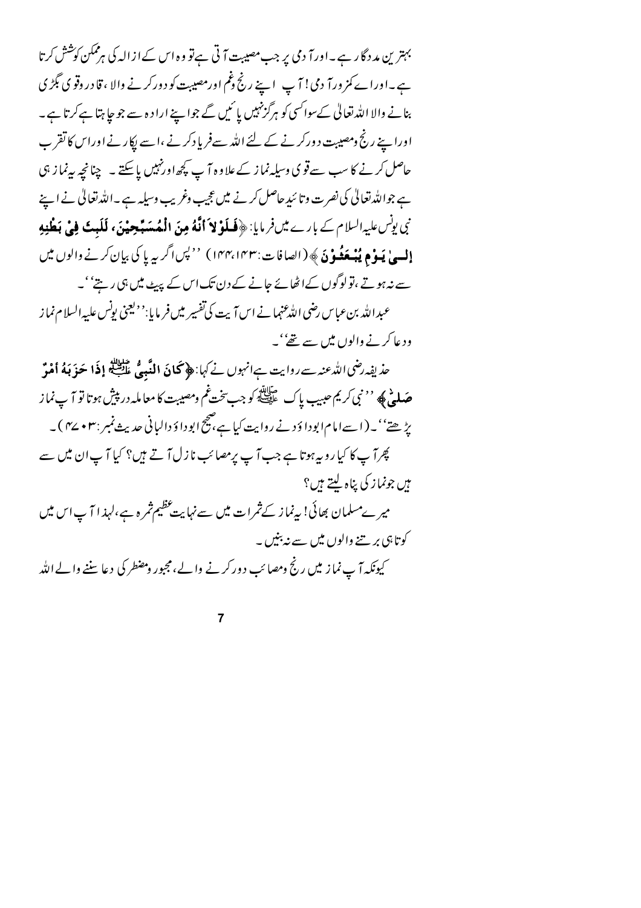بہترین مددگار ہے۔اورآ دمی پر جب مصیبت آ تی ہےتو وہ اس کےازالہ کی ہرممکن کوشش کرتا ہے۔اوراے کمز ورآ دمی! آپ اپنے رنج دغم اورمصیبت کو دورکرنے والا ، قا در دقو ی گِمڑ ی بنانے والا اللہ تعالیٰ کےسوائسی کو ہرگزنہیں یا ئمیں گے جواپنے اراد ہ سے جو جا ہتا ہےکرتا ہے۔ اورا ہے رنج ومصیبت دورکر نے کے لئے اللہ سےفریادکر نے ،اسے اِکار نے اوراس کا تقر ب حاصل کرنے کا سب سے قوی وسیلہ نماز کے علاوہ آ پ کچھ اورنہیں پاسکتے ۔ چنانچہ بیہ نماز ہی ہے جواللہ تعالیٰ کی نصرت وتا سُدِحاصل کرنے میں عجیب وغریب وسیلہ ہے ۔اللہ تعالیٰ نے اپنے نبي يونس عليه السلام کے بارے میں فر مايا: ﴿ فَسلَوْ لاَ أَنَّهُ مِنَ الْمُهَسَبٍّ حِيْنَ، لَلَبِتَ فِيْ بَطْنِهِ **إليهيٰ يَبوْمِ يُبْبِعَثُونَ** ﴾ (الصافات:١۴٣،١۴٣) ''لپسا گریبہ پا کی بیان کرنے والوں میں سے نہ ہوتے ،تولوگوں کےاٹھائے جانے کے دن تک اس کے پہیٹ میں ہی رہتے''۔ عبدالله بنءباس رضي الله عنها نے اس <sub>آ</sub>يت کی تفسير ميں فريايا:''ليجني پونس عليه السلام نما ز

ود عا کرنے والوں میں سے تھے' ۔

حذ يفِه رضي الدُّعنه سے روايت ہےانہوں نے کہا: ﴿ كَمَانَ اللَّهِ مِي عَلَيْتِكُمْ إِذَا حَوَ بَهُ أَمْنَه **صَلَّحْ ﴾ '' نبي كريم عبيب ياك هيچنيچ كوجب يخت غم ومصيبت كا معامله در پيش ہوتا تو آ پ نماز** یڑھتے''۔(اسےامام ابودا دَ د نے روایت کیا ہے،صحیح ابودا دَ دالیانی حدیث نمبر :۳۷ + ۲⁄2)۔ پھرآ پ کا کیا روپہ ہوتا ہے جب آ پ پرمصائب نازل آ تے ہیں؟ کیا آ پ ان میں سے مېں جونما ز کې بڼاه ليتے ہيں؟ میرےمسلمان بھائی! بیےنماز کےثمرات میں سےنہایت عظیم ثمرہ ہے،لہذا آ پ اس میں کوتاہی بر تنے والوں میں سے نہ بنیں ۔ کیونکہ آ پ نماز میں رنج ومصائب دورکرنے والے،مجبور ومضطر کی دعا سننے والے الله

 $\overline{7}$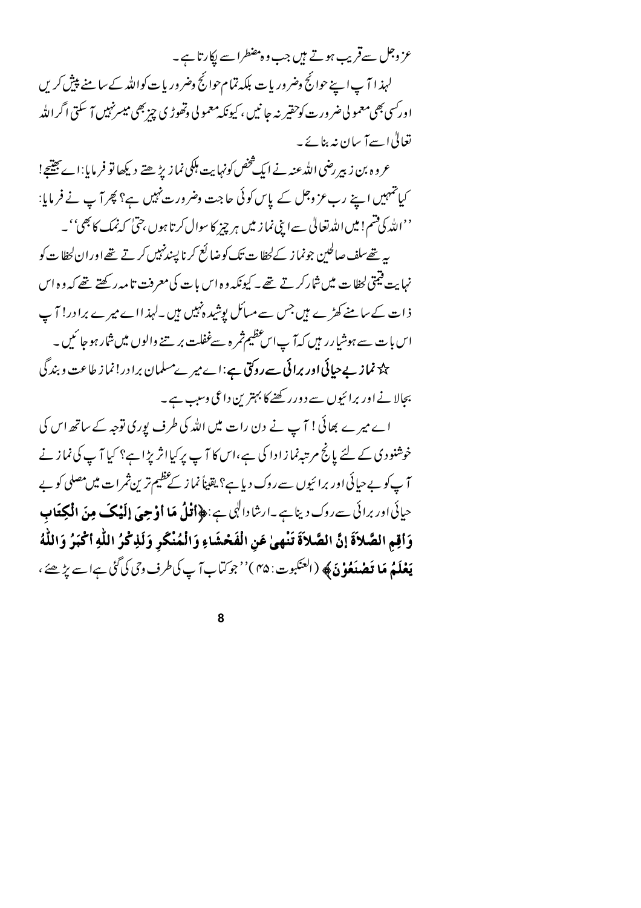عز وجل سےقریب ہوتے ہیں جب وہ مضطرا سے پکارتا ہے۔ لہذا آ پ اپنے حوائج وضروریات بلکہ تمام حوائج وضروریات کواللہ کے سامنے پیش کریں اور سي بھي معمو لي ضر ورت کوحقير نہ جا نيں ، کيونکہ معمو لي وتھوڑ ي چز بھي ميسرنہيں ہ<sub>ے</sub> سکتي اگرالله تعالیٰ اسےآ سان نہ بنائے۔

عروه بن زبير رضي الله عنه نے ايک څخص کونہايت ہلکي نما زيڑ ھتے ديکھا تو فر مايا:اے جيتيج! کیانتہمیں اپنے رب عز وجل کے پاس کوئی حاجت وضرورت نہیں ہے؟ پھر آپ نے فرمایا:

''الله کی قسم! میں اللہ تعالیٰ سے اپنی نما ز میں ہر چیز کا سوال کر تا ہوں ،حتیٰ کہ نمک کا بھی''۔ بہر تھےسلف صالحین جونما ز کےلحظا ت تک کوضا لَع کرنا پسندنہیں کرتے تھےاوران لحظا ت کو نہایت فیمتی لحظا ت میں شارکر تے تھے۔ کیونکہ وہ اس بات کی معرفت تامہ رکھتے تھے کہ وہ اس ذات کے سامنے کھڑے ہیں جس سے مسائل پوشید ہنہیں ہیں ۔لہذ ااے میرے برادر! آ ب اس بات سے ہوشیارر ہیں کہ آپ اس عظیم ثمر ہ سےغفلت بر ہنے والوں میں شار ہو جا ئمیں ۔ یک<sup>ہ</sup> نم**از بے حیائی اور برائی سے روکتی ہے**:اے میر ےمسلمان برا در! نما ز طاعت و بند گی بجالا نے اور برائیوں سے دورر کھنے کا بہترین داعی وسب ہے۔

اے میرے بھائی! آپ نے دن رات میں اللہ کی طرف پوری توجہ کے ساتھ اس کی خوشنودی کے لئے پانچ مرتبہ نمازادا کی ہے،اس کا آپ پرکیااثر پڑاہے؟ کیا آپ کی نماز نے آ پ کو بے حیائی اور برائیوں سے روک دیا ہے؟ یقیناً نما ز کے عظیم تر ین ثمرات میں مصلی کو بے حیائی اور برائی سےروک دیناہے۔ارشادالہی ہے:﴿**أَتْلُ مَا أَوْحِيَ إِلَيْكَ مِنَ الْكِتَابِ** وَأَقِمِ الصَّلاَةَ إِنَّ الصَّلاَةَ تَنْهِيٰ عَنِ الْفَحْشَاءِ وَالْمُنْكَرِ وَلَذِكْرُ اللَّهِ أَكْبَرُ وَاللَّهُ **يَعْلَمُ مَا تَصْنَعُوْنَ﴾ (ا**لعنكبوت: ۴۵)'' جوكيابا ٓ پ كي طرف وي كي گَيْ ہےا سے يڑھئے ،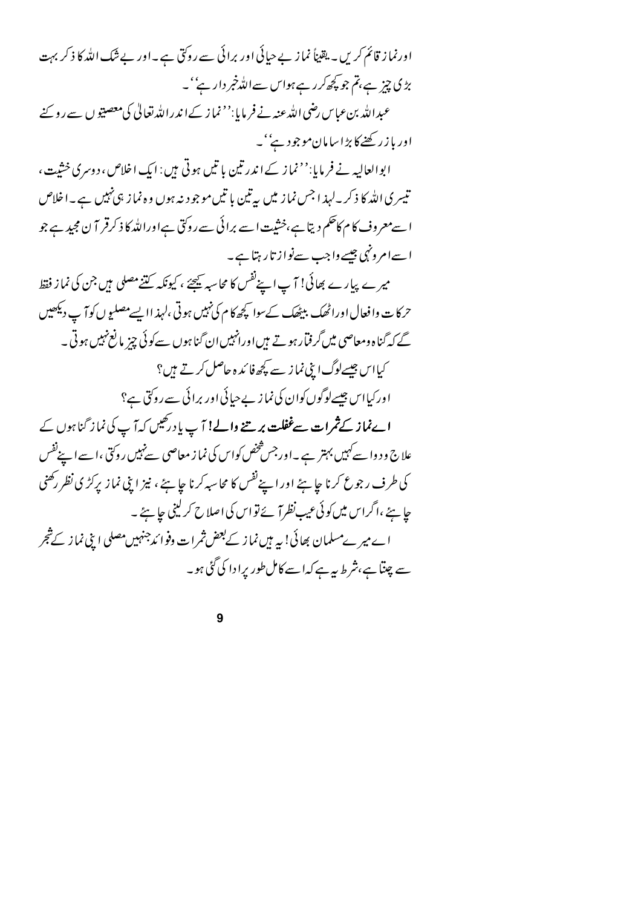اورنما ز قائم کریں۔ یقیناً نماز بے حیائی اور برائی سے روکتی ہے۔اور بے شک اللہ کا ذکر بہت بڑی چیز ہے،تم جو کچھ کرر ہےہواس سےاللہ خبر دار ہے''۔ عبدالله بنءباس رضی الله عنه نے فر مایا:'' نما ز کےا ندرالله تعالیٰ کی معصبیو ں سے رو پنے اور باز رکھنے کا بڑاسامان موجود ہے' ۔ ابوالعالیہ نے فرمایا:'' نماز کے اندرتین باتیں ہوتی ہیں : ایک اخلاص، دوسری خشیت، تیسری اللہ کا ذکر۔لہذ اجس نما ز میں بہ تین با تیں موجود نہ ہوں وہ نما ز ہی نہیں ہے۔اخلاص ا سےمعروف کام کاحکم دیتا ہے،خثیت ا سے برائی سے روکتی ہےاوراللہ کا ذکرقر آ ن مجید ہے جو ا سےامرونہی جیسے واجب سےنواز تار ہتا ہے۔

میرے پیارے بھائی! آپ اپنےنفس کا محاسبہ کیجئے ، کیونکہ کتنے مصلی میں جن کی نماز فقط حرکا ت وافعال اوراٹھک بیٹھک کےسوا کچھ کا م کی نہیں ہوتی ،لہذ اایسے مصلیوں کو آپ دیکھیں گے کہ گناہ ومعاصی میں گرفتار ہو تے ہیں اورانہیں ان گناہوں سے کوئی چزیا نع نہیں ہوتی ۔ کیااس جیسےلوگ اپنی نماز سے کچھ فائیدہ حاصل کرتے ہیں؟ اور کیااس جیسےلوگوں کوان کی نما ز بے حیائی اور برائی سے روکتی ہے؟ ا**ےنماز کےثمرات سےغفلت بر تنے والے!** آپ یا درگیس کہ آپ کی نماز گناہوں کے علاج و د وا سے کہیں بہتر ہے ۔اور جس شخص کواس کی نما ز معاصی سےنہیں روکتی ،ا سے اپنےنفس کی طرف رجوع کرنا جا ہئے اور اپنےنفس کا محاسبہ کرنا جا ہئے ، نیز اپنی نماز پرکڑی نظر رکھنی چاہئے ،اگراس میں کوئی عیبِ نظر آ ئے تواس کی اصلاح کرلینی ج<u>ا</u>ہئے ۔ اے میرےمسلمان بھائی! یہ ہیں نماز کے بعض ثمرات وفوا ،دجنہیں مصلی ابنی نماز کے شجر سے چتنا ہے،شرط ہرہے کہا سے کامل طور پرا دا کی گئی ہو۔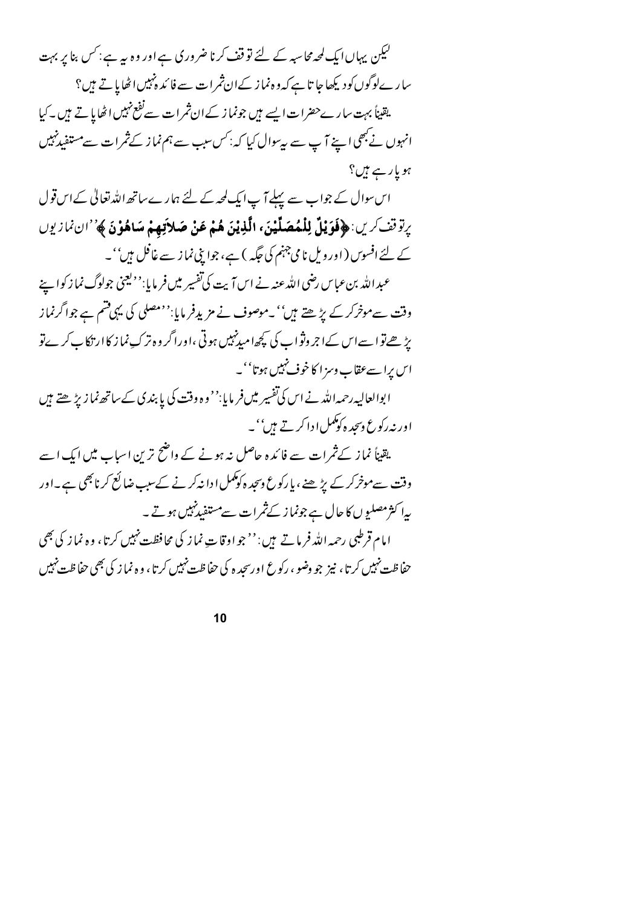لیکن یہاں ایک لمحہ محاسبہ کے لئے تو قف کرنا ضروری ہے اور وہ ہیرہے : کس بنا پر بہت سا رےلوگوں کو دیکھا جا تا ہے کہ و ہ نما ز کےان ثمرات سے فا کد ہنہیں اٹھایا تے ہیں؟ یقیناً بہت سارےحضرات ایسے ہیں جونما ز کے ان ثمرات سے نفع نہیں اٹھایا تے ہیں ۔کیا انہوں نے بھی اپنے آپ سے بی<sup>سوا</sup>ل کیا کہ: *کس سبب سے ہم نم*از کے ثمرات سے مستفید *نہ*یں ہویار ہے ہیں؟

اس سوال کے جواب سے پہلے آپ ایک لحہ کے لئے ہمارے ساتھ اللہ تعالیٰ کے اس قول يرتوقف كرين: ﴿فَوَيْلٌ لِلْمُصَلِّيْنَ، الَّذِيْنَ هُمْ عَنْ صَلاَتِهِمْ سَاهُوْنَ ﴾''ان نمازيوں کے لئے افسوں ( اور ویل نامی جہنم کی جگہہ ) ہے، جوا پنی نما ز سے غافل ہیں''۔

عبد الله بن عباس رضي الله عنه نے اس آیت کی تفسیر میں فر مایا:''<sup>ویع</sup>نی جولوگ نما ز کوا پنے وقت سےموخرکر کے بڑھتے ہیں''۔موصوف نے مزیدِفر مایا:''مصلی کی یہی قسم ہے جواگرنماز یڑھےتوا سےاس کےا جروثواب کی کچھامیدنہیں ہوتی ،اوراگر وہ ترک نما ز کاار تکا کے کر پےتو اس برا سےعقاب وسز ا کا خوف نہیں ہوتا''۔

ابوالعالیہ رحمہ اللہ نے اس کی تفسیر میں فر مایا:'' وہ وقت کی پا بندی کےساتھ نما زیڑ ھتے ہیں اور نه رکوع دسجد ه کوکمل ا دا کرتے ہیں''۔

یقیناً نماز کےثم ات سے فائدہ حاصل نہ ہونے کے واضح ترین اسباب میں ایک اسے وقت سےموخرکر کے بڑھنے ، پا رکوع وسجد ہ کوکمل ادا نہ کرنے کےسب ضا لَع کر نا بھی ہے۔اور بیا کثر مصلیوں کا حال ہے جونما ز کے ثمرات سے مستفید نہیں ہوتے۔ امام قرطبی رحمه الله فر ماتے ہیں : ''جو اوقاتِ نما ز کی محافظت نہیں کرتا، وہ نما ز کی بھی حفاظت نہیں کرتا، نیز جو وضو ، رکوع اورسحد ہ کی حفاظت نہیں کرتا ، و ہ نماز کی بھی حفاظت نہیں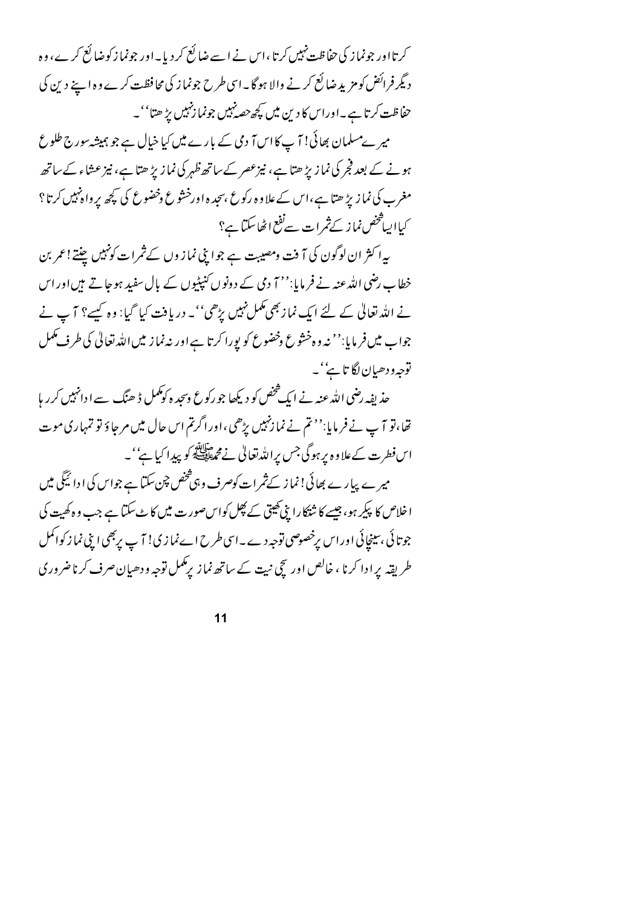کرتااور جونما ز کی حفاظت نہیں کرتا ،اس نے اسے ضائع کر دیا۔اور جونما زکوضائع کرے، وہ د بگر فرائض کومزید ضائع کرنے والا ہو گا۔اسی طرح جونماز کی محافظت کرے وہ اپنے دین کی حفاظت کرتا ہے۔اوراس کا دین میں کچھ حصہ نہیں جونما زنہیں بڑ ھتا''۔

میر ےمسلمان بھائی! آ پ کااس آ دی کے بارے میں کیا خیال ہے جو ہمیشہ سورج طلوع ہونے کے بعد فجر کی نماز پڑ ھتا ہے، نیزعصر کے ساتھ ظہر کی نماز پڑ ھتا ہے، نیز عشاء کے ساتھ مغرب کی نما زیڑ ھتا ہے،اس کے علاوہ رکوع ،سجد ہ اورخشوع وخضوع کی کچھ پر واہ نہیں کرتا؟ کیااییافخص نماز کےثمرات سےنفع اٹھاسکتا ہے؟

بہ اکثر ان لوگون کی آ فت ومصیبت ہے جوابی نماز وں کے ثمرات کونہیں چنتے! عمر بن خطاب رضی اللہ عنہ نے فر مایا:''7 دی کے د ونوں کنپٹیوں کے پال سفید ہوجاتے ہیں اور اس نے اللہ تعالیٰ کے لئے ایک نماز بھی مکمل نہیں بڑھی''۔ دریافت کیا گیا: وہ کسے؟ آ ب نے جواب میں فر مایا:'' نہ وہ خشوع وخضوع کو پورا کرتا ہے اور نہ نماز میں اللہ تعالٰی کی طرف مکمل توجه و دھيان لگا ٿاپُ' ۔

حذ پفہ رضی اللہ عنہ نے ایک شخص کو دیکھا جو رکوع وسحد ہ کومکمل ڈ ھنگ سے ا دانہیں کر ریا تھا،تو آپ نے فر مایا:'' تم نے نما زنہیں بڑھی ،اورا گرتم اس حال میں مرحا وَ تو تمہاری موت اس فطرت کےعلاوہ پر ہوگی جس پراللہ تعالیٰ نےمجمۃاللہ کو پیدا کیا ہے''۔ میر ے پیار ے بھائی! نما ز کےثمرات کوصرف و ہی څخص چن سکتا ہے جواس کی ا دا ئیگی میں ا خلاص کا پکیر ہو، جیسے کا شدّکارا بنی کھیتی کے پھِل کواس صورت میں کا ٹے سکتا ہے جب و ہ کھیت کی جوتا ئی ،سینجائی اوراس پرخصوصی توجہ دے۔اسی طرح اےنما زی! آ پ پر بھی اپنی نما ز کواکمل طریقہ پرادا کرنا ، خالص اور سچی نبیت کے ساتھ نماز پر کممل توجہ ودھیان صرف کرناضروری